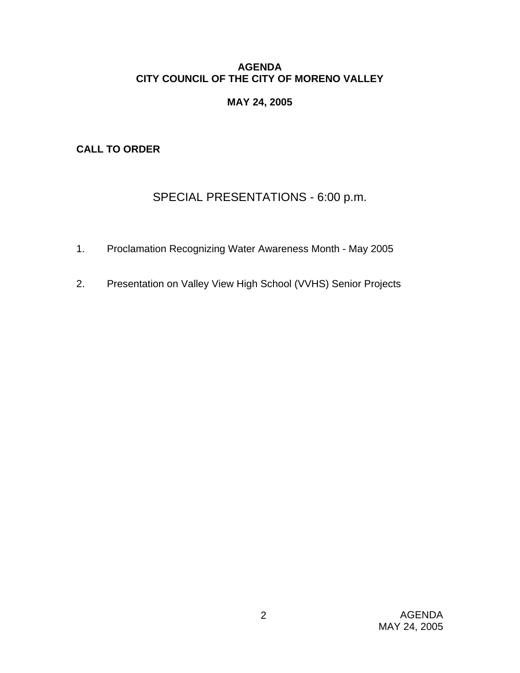# **AGENDA CITY COUNCIL OF THE CITY OF MORENO VALLEY**

# **MAY 24, 2005**

**CALL TO ORDER** 

# SPECIAL PRESENTATIONS - 6:00 p.m.

- 1. Proclamation Recognizing Water Awareness Month May 2005
- 2. Presentation on Valley View High School (VVHS) Senior Projects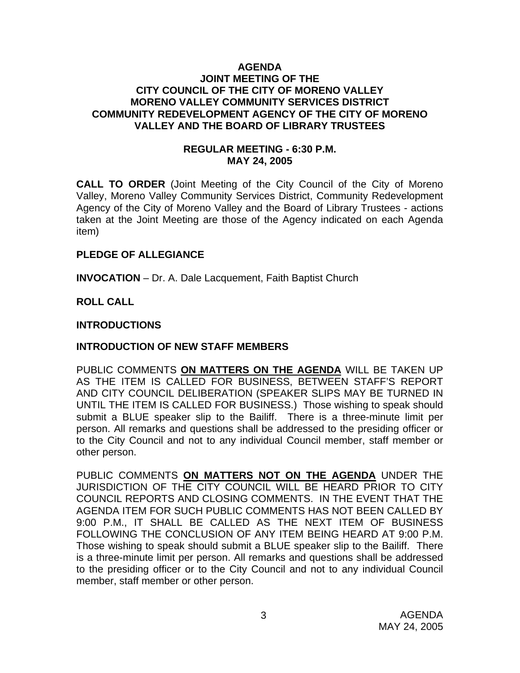#### **AGENDA JOINT MEETING OF THE CITY COUNCIL OF THE CITY OF MORENO VALLEY MORENO VALLEY COMMUNITY SERVICES DISTRICT COMMUNITY REDEVELOPMENT AGENCY OF THE CITY OF MORENO VALLEY AND THE BOARD OF LIBRARY TRUSTEES**

#### **REGULAR MEETING - 6:30 P.M. MAY 24, 2005**

**CALL TO ORDER** (Joint Meeting of the City Council of the City of Moreno Valley, Moreno Valley Community Services District, Community Redevelopment Agency of the City of Moreno Valley and the Board of Library Trustees - actions taken at the Joint Meeting are those of the Agency indicated on each Agenda item)

#### **PLEDGE OF ALLEGIANCE**

**INVOCATION** – Dr. A. Dale Lacquement, Faith Baptist Church

**ROLL CALL** 

# **INTRODUCTIONS**

# **INTRODUCTION OF NEW STAFF MEMBERS**

PUBLIC COMMENTS **ON MATTERS ON THE AGENDA** WILL BE TAKEN UP AS THE ITEM IS CALLED FOR BUSINESS, BETWEEN STAFF'S REPORT AND CITY COUNCIL DELIBERATION (SPEAKER SLIPS MAY BE TURNED IN UNTIL THE ITEM IS CALLED FOR BUSINESS.) Those wishing to speak should submit a BLUE speaker slip to the Bailiff. There is a three-minute limit per person. All remarks and questions shall be addressed to the presiding officer or to the City Council and not to any individual Council member, staff member or other person.

PUBLIC COMMENTS **ON MATTERS NOT ON THE AGENDA** UNDER THE JURISDICTION OF THE CITY COUNCIL WILL BE HEARD PRIOR TO CITY COUNCIL REPORTS AND CLOSING COMMENTS. IN THE EVENT THAT THE AGENDA ITEM FOR SUCH PUBLIC COMMENTS HAS NOT BEEN CALLED BY 9:00 P.M., IT SHALL BE CALLED AS THE NEXT ITEM OF BUSINESS FOLLOWING THE CONCLUSION OF ANY ITEM BEING HEARD AT 9:00 P.M. Those wishing to speak should submit a BLUE speaker slip to the Bailiff. There is a three-minute limit per person. All remarks and questions shall be addressed to the presiding officer or to the City Council and not to any individual Council member, staff member or other person.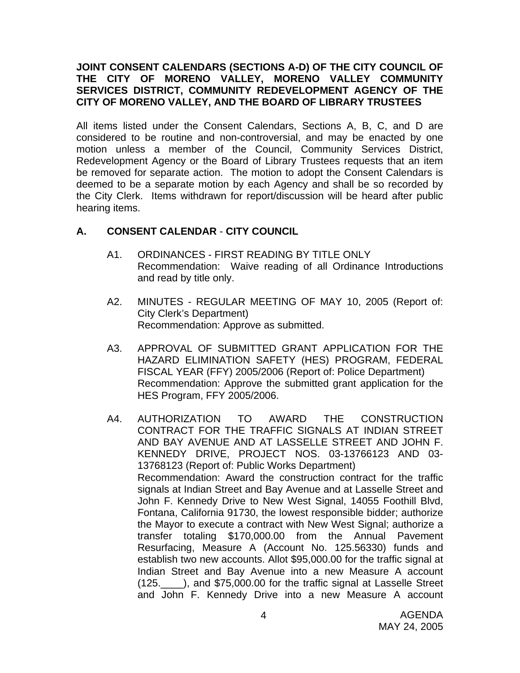#### **JOINT CONSENT CALENDARS (SECTIONS A-D) OF THE CITY COUNCIL OF THE CITY OF MORENO VALLEY, MORENO VALLEY COMMUNITY SERVICES DISTRICT, COMMUNITY REDEVELOPMENT AGENCY OF THE CITY OF MORENO VALLEY, AND THE BOARD OF LIBRARY TRUSTEES**

All items listed under the Consent Calendars, Sections A, B, C, and D are considered to be routine and non-controversial, and may be enacted by one motion unless a member of the Council, Community Services District, Redevelopment Agency or the Board of Library Trustees requests that an item be removed for separate action. The motion to adopt the Consent Calendars is deemed to be a separate motion by each Agency and shall be so recorded by the City Clerk. Items withdrawn for report/discussion will be heard after public hearing items.

# **A. CONSENT CALENDAR** - **CITY COUNCIL**

- A1. ORDINANCES FIRST READING BY TITLE ONLY Recommendation: Waive reading of all Ordinance Introductions and read by title only.
- A2. MINUTES REGULAR MEETING OF MAY 10, 2005 (Report of: City Clerk's Department) Recommendation: Approve as submitted.
- A3. APPROVAL OF SUBMITTED GRANT APPLICATION FOR THE HAZARD ELIMINATION SAFETY (HES) PROGRAM, FEDERAL FISCAL YEAR (FFY) 2005/2006 (Report of: Police Department) Recommendation: Approve the submitted grant application for the HES Program, FFY 2005/2006.
- A4. AUTHORIZATION TO AWARD THE CONSTRUCTION CONTRACT FOR THE TRAFFIC SIGNALS AT INDIAN STREET AND BAY AVENUE AND AT LASSELLE STREET AND JOHN F. KENNEDY DRIVE, PROJECT NOS. 03-13766123 AND 03- 13768123 (Report of: Public Works Department) Recommendation: Award the construction contract for the traffic signals at Indian Street and Bay Avenue and at Lasselle Street and John F. Kennedy Drive to New West Signal, 14055 Foothill Blvd, Fontana, California 91730, the lowest responsible bidder; authorize the Mayor to execute a contract with New West Signal; authorize a transfer totaling \$170,000.00 from the Annual Pavement Resurfacing, Measure A (Account No. 125.56330) funds and establish two new accounts. Allot \$95,000.00 for the traffic signal at Indian Street and Bay Avenue into a new Measure A account (125.\_\_\_\_), and \$75,000.00 for the traffic signal at Lasselle Street and John F. Kennedy Drive into a new Measure A account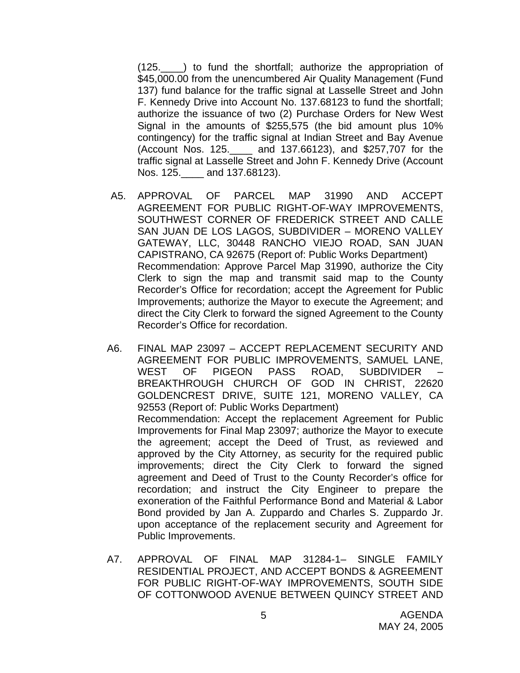(125.\_\_\_\_) to fund the shortfall; authorize the appropriation of \$45,000.00 from the unencumbered Air Quality Management (Fund 137) fund balance for the traffic signal at Lasselle Street and John F. Kennedy Drive into Account No. 137.68123 to fund the shortfall; authorize the issuance of two (2) Purchase Orders for New West Signal in the amounts of \$255,575 (the bid amount plus 10% contingency) for the traffic signal at Indian Street and Bay Avenue (Account Nos. 125.\_\_\_\_ and 137.66123), and \$257,707 for the traffic signal at Lasselle Street and John F. Kennedy Drive (Account Nos. 125.\_\_\_\_ and 137.68123).

- A5. APPROVAL OF PARCEL MAP 31990 AND ACCEPT AGREEMENT FOR PUBLIC RIGHT-OF-WAY IMPROVEMENTS, SOUTHWEST CORNER OF FREDERICK STREET AND CALLE SAN JUAN DE LOS LAGOS, SUBDIVIDER – MORENO VALLEY GATEWAY, LLC, 30448 RANCHO VIEJO ROAD, SAN JUAN CAPISTRANO, CA 92675 (Report of: Public Works Department) Recommendation: Approve Parcel Map 31990, authorize the City Clerk to sign the map and transmit said map to the County Recorder's Office for recordation; accept the Agreement for Public Improvements; authorize the Mayor to execute the Agreement; and direct the City Clerk to forward the signed Agreement to the County Recorder's Office for recordation.
- A6. FINAL MAP 23097 ACCEPT REPLACEMENT SECURITY AND AGREEMENT FOR PUBLIC IMPROVEMENTS, SAMUEL LANE, WEST OF PIGEON PASS ROAD, SUBDIVIDER BREAKTHROUGH CHURCH OF GOD IN CHRIST, 22620 GOLDENCREST DRIVE, SUITE 121, MORENO VALLEY, CA 92553 (Report of: Public Works Department) Recommendation: Accept the replacement Agreement for Public Improvements for Final Map 23097; authorize the Mayor to execute the agreement; accept the Deed of Trust, as reviewed and approved by the City Attorney, as security for the required public improvements; direct the City Clerk to forward the signed agreement and Deed of Trust to the County Recorder's office for recordation; and instruct the City Engineer to prepare the exoneration of the Faithful Performance Bond and Material & Labor Bond provided by Jan A. Zuppardo and Charles S. Zuppardo Jr. upon acceptance of the replacement security and Agreement for Public Improvements.
- A7. APPROVAL OF FINAL MAP 31284-1– SINGLE FAMILY RESIDENTIAL PROJECT, AND ACCEPT BONDS & AGREEMENT FOR PUBLIC RIGHT-OF-WAY IMPROVEMENTS, SOUTH SIDE OF COTTONWOOD AVENUE BETWEEN QUINCY STREET AND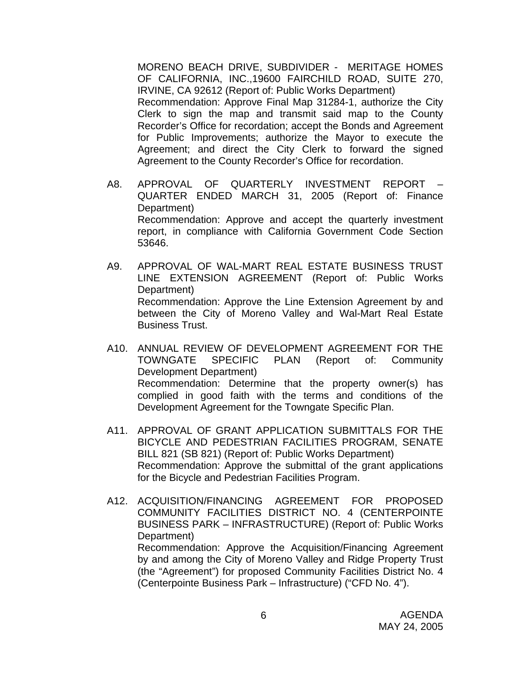MORENO BEACH DRIVE, SUBDIVIDER - MERITAGE HOMES OF CALIFORNIA, INC.,19600 FAIRCHILD ROAD, SUITE 270, IRVINE, CA 92612 (Report of: Public Works Department) Recommendation: Approve Final Map 31284-1, authorize the City Clerk to sign the map and transmit said map to the County Recorder's Office for recordation; accept the Bonds and Agreement for Public Improvements; authorize the Mayor to execute the Agreement; and direct the City Clerk to forward the signed Agreement to the County Recorder's Office for recordation.

- A8. APPROVAL OF QUARTERLY INVESTMENT REPORT QUARTER ENDED MARCH 31, 2005 (Report of: Finance Department) Recommendation: Approve and accept the quarterly investment report, in compliance with California Government Code Section 53646.
- A9. APPROVAL OF WAL-MART REAL ESTATE BUSINESS TRUST LINE EXTENSION AGREEMENT (Report of: Public Works Department) Recommendation: Approve the Line Extension Agreement by and between the City of Moreno Valley and Wal-Mart Real Estate Business Trust.
- A10. ANNUAL REVIEW OF DEVELOPMENT AGREEMENT FOR THE TOWNGATE SPECIFIC PLAN (Report of: Community Development Department) Recommendation: Determine that the property owner(s) has complied in good faith with the terms and conditions of the Development Agreement for the Towngate Specific Plan.
- A11. APPROVAL OF GRANT APPLICATION SUBMITTALS FOR THE BICYCLE AND PEDESTRIAN FACILITIES PROGRAM, SENATE BILL 821 (SB 821) (Report of: Public Works Department) Recommendation: Approve the submittal of the grant applications for the Bicycle and Pedestrian Facilities Program.
- A12. ACQUISITION/FINANCING AGREEMENT FOR PROPOSED COMMUNITY FACILITIES DISTRICT NO. 4 (CENTERPOINTE BUSINESS PARK – INFRASTRUCTURE) (Report of: Public Works Department) Recommendation: Approve the Acquisition/Financing Agreement by and among the City of Moreno Valley and Ridge Property Trust (the "Agreement") for proposed Community Facilities District No. 4 (Centerpointe Business Park – Infrastructure) ("CFD No. 4").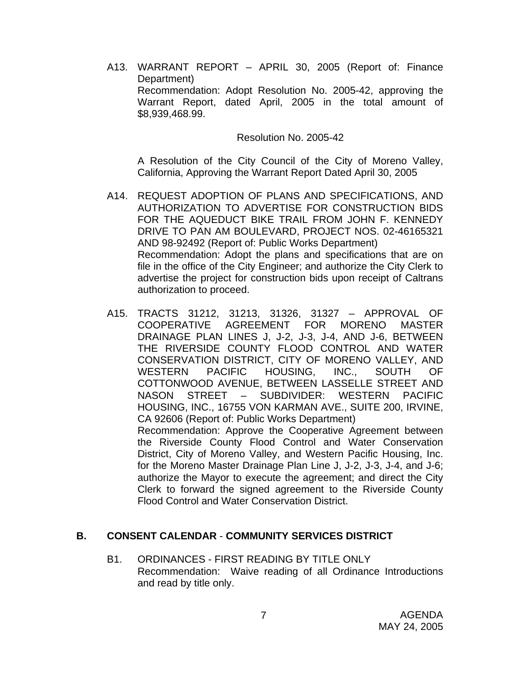A13. WARRANT REPORT – APRIL 30, 2005 (Report of: Finance Department) Recommendation: Adopt Resolution No. 2005-42, approving the Warrant Report, dated April, 2005 in the total amount of \$8,939,468.99.

Resolution No. 2005-42

A Resolution of the City Council of the City of Moreno Valley, California, Approving the Warrant Report Dated April 30, 2005

- A14. REQUEST ADOPTION OF PLANS AND SPECIFICATIONS, AND AUTHORIZATION TO ADVERTISE FOR CONSTRUCTION BIDS FOR THE AQUEDUCT BIKE TRAIL FROM JOHN F. KENNEDY DRIVE TO PAN AM BOULEVARD, PROJECT NOS. 02-46165321 AND 98-92492 (Report of: Public Works Department) Recommendation: Adopt the plans and specifications that are on file in the office of the City Engineer; and authorize the City Clerk to advertise the project for construction bids upon receipt of Caltrans authorization to proceed.
- A15. TRACTS 31212, 31213, 31326, 31327 APPROVAL OF COOPERATIVE AGREEMENT FOR MORENO MASTER DRAINAGE PLAN LINES J, J-2, J-3, J-4, AND J-6, BETWEEN THE RIVERSIDE COUNTY FLOOD CONTROL AND WATER CONSERVATION DISTRICT, CITY OF MORENO VALLEY, AND WESTERN PACIFIC HOUSING, INC., SOUTH OF COTTONWOOD AVENUE, BETWEEN LASSELLE STREET AND NASON STREET – SUBDIVIDER: WESTERN PACIFIC HOUSING, INC., 16755 VON KARMAN AVE., SUITE 200, IRVINE, CA 92606 (Report of: Public Works Department) Recommendation: Approve the Cooperative Agreement between the Riverside County Flood Control and Water Conservation District, City of Moreno Valley, and Western Pacific Housing, Inc. for the Moreno Master Drainage Plan Line J, J-2, J-3, J-4, and J-6;

authorize the Mayor to execute the agreement; and direct the City Clerk to forward the signed agreement to the Riverside County Flood Control and Water Conservation District.

#### **B. CONSENT CALENDAR** - **COMMUNITY SERVICES DISTRICT**

B1. ORDINANCES - FIRST READING BY TITLE ONLY Recommendation: Waive reading of all Ordinance Introductions and read by title only.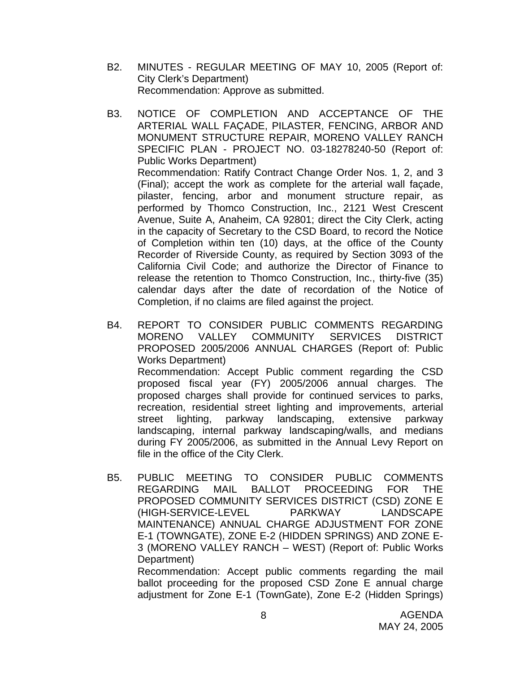- B2. MINUTES REGULAR MEETING OF MAY 10, 2005 (Report of: City Clerk's Department) Recommendation: Approve as submitted.
- B3. NOTICE OF COMPLETION AND ACCEPTANCE OF THE ARTERIAL WALL FAÇADE, PILASTER, FENCING, ARBOR AND MONUMENT STRUCTURE REPAIR, MORENO VALLEY RANCH SPECIFIC PLAN - PROJECT NO. 03-18278240-50 (Report of: Public Works Department) Recommendation: Ratify Contract Change Order Nos. 1, 2, and 3 (Final); accept the work as complete for the arterial wall façade, pilaster, fencing, arbor and monument structure repair, as performed by Thomco Construction, Inc., 2121 West Crescent Avenue, Suite A, Anaheim, CA 92801; direct the City Clerk, acting in the capacity of Secretary to the CSD Board, to record the Notice of Completion within ten (10) days, at the office of the County Recorder of Riverside County, as required by Section 3093 of the California Civil Code; and authorize the Director of Finance to release the retention to Thomco Construction, Inc., thirty-five (35) calendar days after the date of recordation of the Notice of Completion, if no claims are filed against the project.
- B4. REPORT TO CONSIDER PUBLIC COMMENTS REGARDING MORENO VALLEY COMMUNITY SERVICES DISTRICT PROPOSED 2005/2006 ANNUAL CHARGES (Report of: Public Works Department) Recommendation: Accept Public comment regarding the CSD proposed fiscal year (FY) 2005/2006 annual charges. The proposed charges shall provide for continued services to parks, recreation, residential street lighting and improvements, arterial street lighting, parkway landscaping, extensive parkway landscaping, internal parkway landscaping/walls, and medians during FY 2005/2006, as submitted in the Annual Levy Report on file in the office of the City Clerk.
- B5. PUBLIC MEETING TO CONSIDER PUBLIC COMMENTS REGARDING MAIL BALLOT PROCEEDING FOR THE PROPOSED COMMUNITY SERVICES DISTRICT (CSD) ZONE E (HIGH-SERVICE-LEVEL PARKWAY LANDSCAPE MAINTENANCE) ANNUAL CHARGE ADJUSTMENT FOR ZONE E-1 (TOWNGATE), ZONE E-2 (HIDDEN SPRINGS) AND ZONE E-3 (MORENO VALLEY RANCH – WEST) (Report of: Public Works Department)

Recommendation: Accept public comments regarding the mail ballot proceeding for the proposed CSD Zone E annual charge adjustment for Zone E-1 (TownGate), Zone E-2 (Hidden Springs)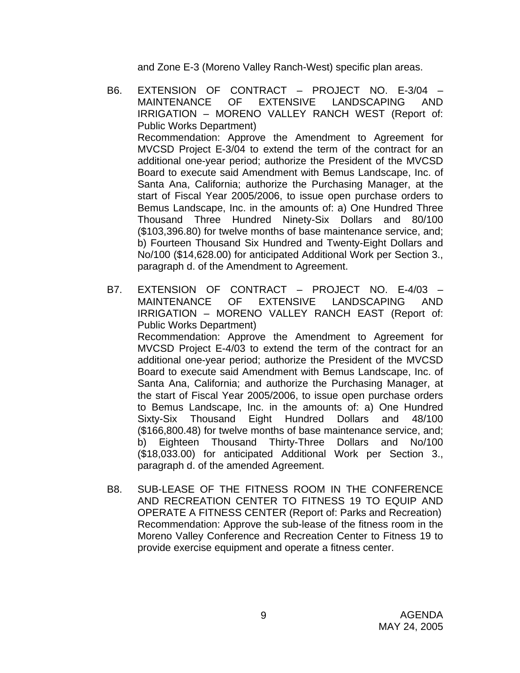and Zone E-3 (Moreno Valley Ranch-West) specific plan areas.

- B6. EXTENSION OF CONTRACT PROJECT NO. E-3/04 MAINTENANCE OF EXTENSIVE LANDSCAPING AND IRRIGATION – MORENO VALLEY RANCH WEST (Report of: Public Works Department) Recommendation: Approve the Amendment to Agreement for MVCSD Project E-3/04 to extend the term of the contract for an additional one-year period; authorize the President of the MVCSD Board to execute said Amendment with Bemus Landscape, Inc. of Santa Ana, California; authorize the Purchasing Manager, at the start of Fiscal Year 2005/2006, to issue open purchase orders to Bemus Landscape, Inc. in the amounts of: a) One Hundred Three Thousand Three Hundred Ninety-Six Dollars and 80/100 (\$103,396.80) for twelve months of base maintenance service, and; b) Fourteen Thousand Six Hundred and Twenty-Eight Dollars and No/100 (\$14,628.00) for anticipated Additional Work per Section 3., paragraph d. of the Amendment to Agreement.
- B7. EXTENSION OF CONTRACT PROJECT NO. E-4/03 MAINTENANCE OF EXTENSIVE LANDSCAPING AND IRRIGATION – MORENO VALLEY RANCH EAST (Report of: Public Works Department) Recommendation: Approve the Amendment to Agreement for MVCSD Project E-4/03 to extend the term of the contract for an additional one-year period; authorize the President of the MVCSD Board to execute said Amendment with Bemus Landscape, Inc. of Santa Ana, California; and authorize the Purchasing Manager, at the start of Fiscal Year 2005/2006, to issue open purchase orders to Bemus Landscape, Inc. in the amounts of: a) One Hundred Sixty-Six Thousand Eight Hundred Dollars and 48/100 (\$166,800.48) for twelve months of base maintenance service, and; b) Eighteen Thousand Thirty-Three Dollars and No/100 (\$18,033.00) for anticipated Additional Work per Section 3., paragraph d. of the amended Agreement.
- B8. SUB-LEASE OF THE FITNESS ROOM IN THE CONFERENCE AND RECREATION CENTER TO FITNESS 19 TO EQUIP AND OPERATE A FITNESS CENTER (Report of: Parks and Recreation) Recommendation: Approve the sub-lease of the fitness room in the Moreno Valley Conference and Recreation Center to Fitness 19 to provide exercise equipment and operate a fitness center.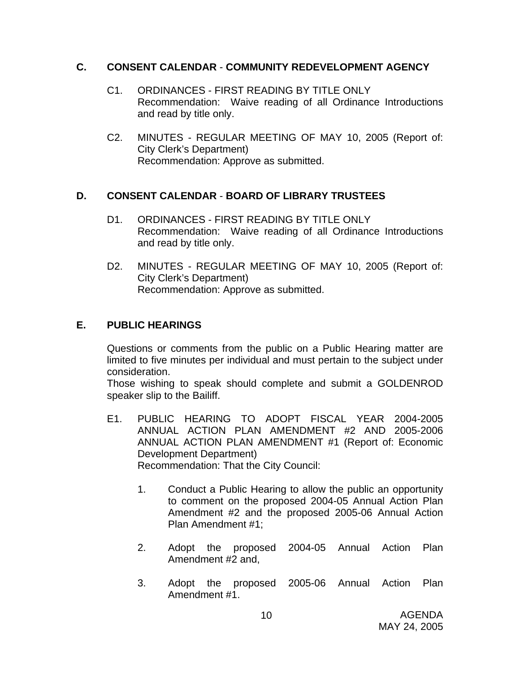#### **C. CONSENT CALENDAR** - **COMMUNITY REDEVELOPMENT AGENCY**

- C1. ORDINANCES FIRST READING BY TITLE ONLY Recommendation: Waive reading of all Ordinance Introductions and read by title only.
- C2. MINUTES REGULAR MEETING OF MAY 10, 2005 (Report of: City Clerk's Department) Recommendation: Approve as submitted.

# **D. CONSENT CALENDAR** - **BOARD OF LIBRARY TRUSTEES**

- D1. ORDINANCES FIRST READING BY TITLE ONLY Recommendation: Waive reading of all Ordinance Introductions and read by title only.
- D2. MINUTES REGULAR MEETING OF MAY 10, 2005 (Report of: City Clerk's Department) Recommendation: Approve as submitted.

# **E. PUBLIC HEARINGS**

Questions or comments from the public on a Public Hearing matter are limited to five minutes per individual and must pertain to the subject under consideration.

Those wishing to speak should complete and submit a GOLDENROD speaker slip to the Bailiff.

- E1. PUBLIC HEARING TO ADOPT FISCAL YEAR 2004-2005 ANNUAL ACTION PLAN AMENDMENT #2 AND 2005-2006 ANNUAL ACTION PLAN AMENDMENT #1 (Report of: Economic Development Department) Recommendation: That the City Council:
	- 1. Conduct a Public Hearing to allow the public an opportunity to comment on the proposed 2004-05 Annual Action Plan Amendment #2 and the proposed 2005-06 Annual Action Plan Amendment #1;
	- 2. Adopt the proposed 2004-05 Annual Action Plan Amendment #2 and,
	- 3. Adopt the proposed 2005-06 Annual Action Plan Amendment #1.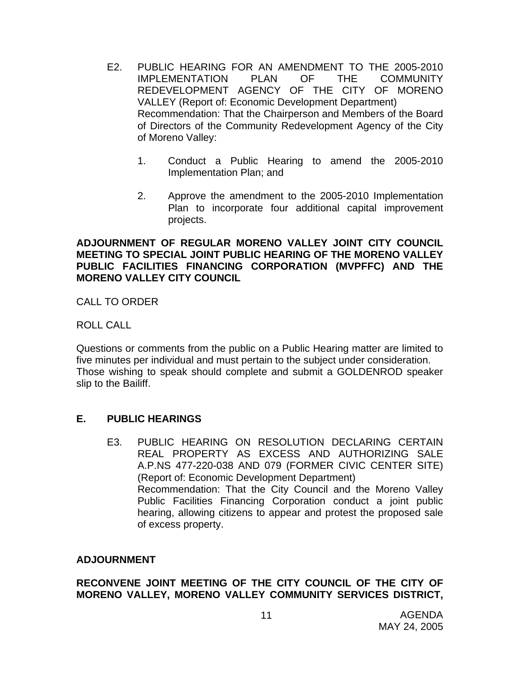- E2. PUBLIC HEARING FOR AN AMENDMENT TO THE 2005-2010 IMPLEMENTATION PLAN OF THE COMMUNITY REDEVELOPMENT AGENCY OF THE CITY OF MORENO VALLEY (Report of: Economic Development Department) Recommendation: That the Chairperson and Members of the Board of Directors of the Community Redevelopment Agency of the City of Moreno Valley:
	- 1. Conduct a Public Hearing to amend the 2005-2010 Implementation Plan; and
	- 2. Approve the amendment to the 2005-2010 Implementation Plan to incorporate four additional capital improvement projects.

#### **ADJOURNMENT OF REGULAR MORENO VALLEY JOINT CITY COUNCIL MEETING TO SPECIAL JOINT PUBLIC HEARING OF THE MORENO VALLEY PUBLIC FACILITIES FINANCING CORPORATION (MVPFFC) AND THE MORENO VALLEY CITY COUNCIL**

CALL TO ORDER

ROLL CALL

Questions or comments from the public on a Public Hearing matter are limited to five minutes per individual and must pertain to the subject under consideration. Those wishing to speak should complete and submit a GOLDENROD speaker slip to the Bailiff.

# **E. PUBLIC HEARINGS**

E3. PUBLIC HEARING ON RESOLUTION DECLARING CERTAIN REAL PROPERTY AS EXCESS AND AUTHORIZING SALE A.P.NS 477-220-038 AND 079 (FORMER CIVIC CENTER SITE) (Report of: Economic Development Department) Recommendation: That the City Council and the Moreno Valley Public Facilities Financing Corporation conduct a joint public hearing, allowing citizens to appear and protest the proposed sale of excess property.

#### **ADJOURNMENT**

# **RECONVENE JOINT MEETING OF THE CITY COUNCIL OF THE CITY OF MORENO VALLEY, MORENO VALLEY COMMUNITY SERVICES DISTRICT,**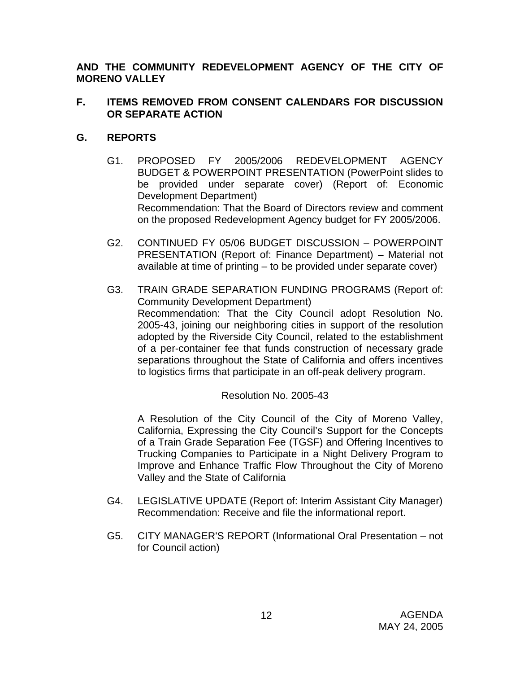**AND THE COMMUNITY REDEVELOPMENT AGENCY OF THE CITY OF MORENO VALLEY** 

# **F. ITEMS REMOVED FROM CONSENT CALENDARS FOR DISCUSSION OR SEPARATE ACTION**

# **G. REPORTS**

- G1. PROPOSED FY 2005/2006 REDEVELOPMENT AGENCY BUDGET & POWERPOINT PRESENTATION (PowerPoint slides to be provided under separate cover) (Report of: Economic Development Department) Recommendation: That the Board of Directors review and comment on the proposed Redevelopment Agency budget for FY 2005/2006.
- G2. CONTINUED FY 05/06 BUDGET DISCUSSION POWERPOINT PRESENTATION (Report of: Finance Department) – Material not available at time of printing – to be provided under separate cover)
- G3. TRAIN GRADE SEPARATION FUNDING PROGRAMS (Report of: Community Development Department) Recommendation: That the City Council adopt Resolution No. 2005-43, joining our neighboring cities in support of the resolution adopted by the Riverside City Council, related to the establishment of a per-container fee that funds construction of necessary grade separations throughout the State of California and offers incentives to logistics firms that participate in an off-peak delivery program.

# Resolution No. 2005-43

A Resolution of the City Council of the City of Moreno Valley, California, Expressing the City Council's Support for the Concepts of a Train Grade Separation Fee (TGSF) and Offering Incentives to Trucking Companies to Participate in a Night Delivery Program to Improve and Enhance Traffic Flow Throughout the City of Moreno Valley and the State of California

- G4. LEGISLATIVE UPDATE (Report of: Interim Assistant City Manager) Recommendation: Receive and file the informational report.
- G5. CITY MANAGER'S REPORT (Informational Oral Presentation not for Council action)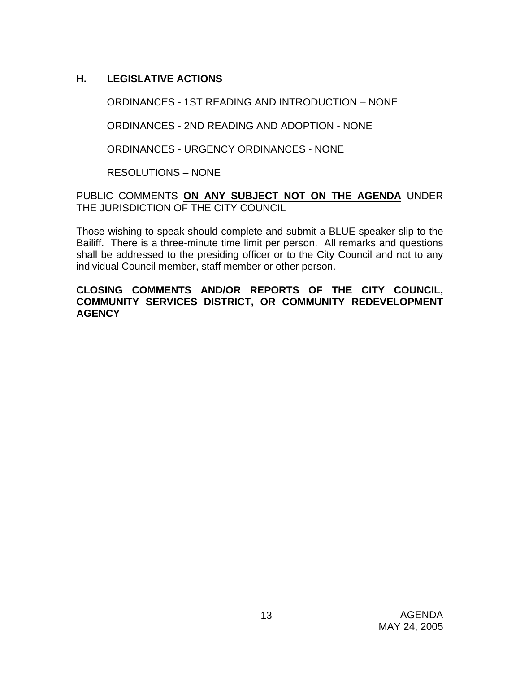# **H. LEGISLATIVE ACTIONS**

ORDINANCES - 1ST READING AND INTRODUCTION – NONE

ORDINANCES - 2ND READING AND ADOPTION - NONE

ORDINANCES - URGENCY ORDINANCES - NONE

RESOLUTIONS – NONE

PUBLIC COMMENTS **ON ANY SUBJECT NOT ON THE AGENDA** UNDER THE JURISDICTION OF THE CITY COUNCIL

Those wishing to speak should complete and submit a BLUE speaker slip to the Bailiff. There is a three-minute time limit per person. All remarks and questions shall be addressed to the presiding officer or to the City Council and not to any individual Council member, staff member or other person.

**CLOSING COMMENTS AND/OR REPORTS OF THE CITY COUNCIL, COMMUNITY SERVICES DISTRICT, OR COMMUNITY REDEVELOPMENT AGENCY**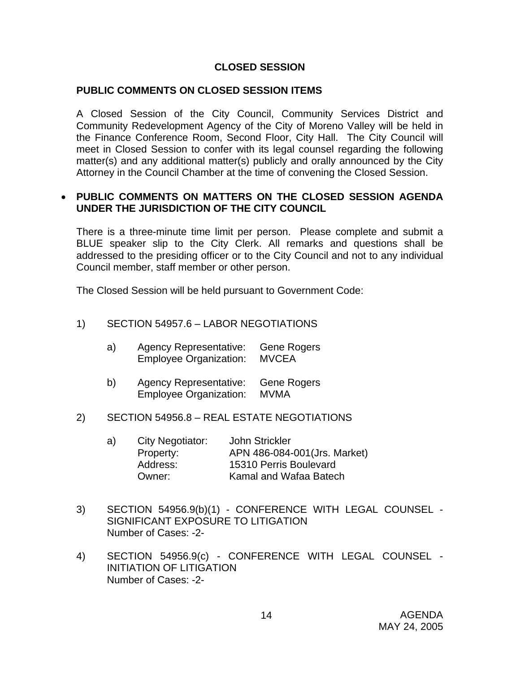# **CLOSED SESSION**

#### **PUBLIC COMMENTS ON CLOSED SESSION ITEMS**

A Closed Session of the City Council, Community Services District and Community Redevelopment Agency of the City of Moreno Valley will be held in the Finance Conference Room, Second Floor, City Hall. The City Council will meet in Closed Session to confer with its legal counsel regarding the following matter(s) and any additional matter(s) publicly and orally announced by the City Attorney in the Council Chamber at the time of convening the Closed Session.

#### • **PUBLIC COMMENTS ON MATTERS ON THE CLOSED SESSION AGENDA UNDER THE JURISDICTION OF THE CITY COUNCIL**

There is a three-minute time limit per person. Please complete and submit a BLUE speaker slip to the City Clerk. All remarks and questions shall be addressed to the presiding officer or to the City Council and not to any individual Council member, staff member or other person.

The Closed Session will be held pursuant to Government Code:

#### 1) SECTION 54957.6 – LABOR NEGOTIATIONS

| a) | <b>Agency Representative:</b> | Gene Rogers |
|----|-------------------------------|-------------|
|    | <b>Employee Organization:</b> | MVCEA       |

 b) Agency Representative: Gene Rogers Employee Organization: MVMA

#### 2) SECTION 54956.8 – REAL ESTATE NEGOTIATIONS

| a) | City Negotiator: | John Strickler                |
|----|------------------|-------------------------------|
|    | Property:        | APN 486-084-001 (Jrs. Market) |
|    | Address:         | 15310 Perris Boulevard        |
|    | Owner:           | Kamal and Wafaa Batech        |
|    |                  |                               |

- 3) SECTION 54956.9(b)(1) CONFERENCE WITH LEGAL COUNSEL SIGNIFICANT EXPOSURE TO LITIGATION Number of Cases: -2-
- 4) SECTION 54956.9(c) CONFERENCE WITH LEGAL COUNSEL INITIATION OF LITIGATION Number of Cases: -2-